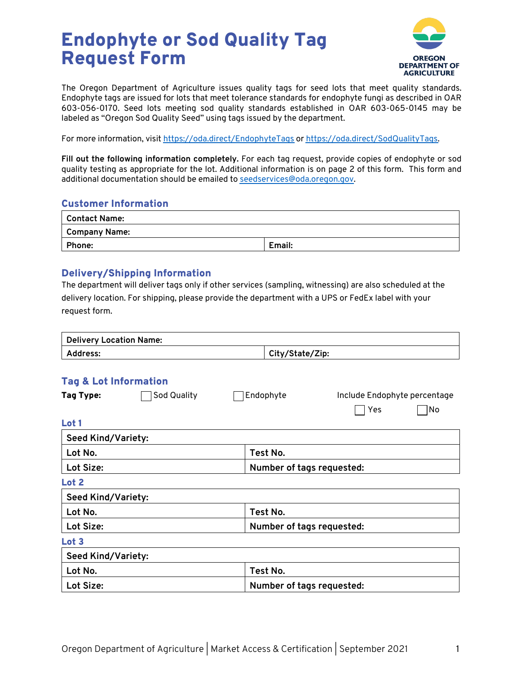# Endophyte or Sod Quality Tag Request Form



The Oregon Department of Agriculture issues quality tags for seed lots that meet quality standards. Endophyte tags are issued for lots that meet tolerance standards for endophyte fungi as described in OAR 603-056-0170. Seed lots meeting sod quality standards established in OAR 603-065-0145 may be labeled as "Oregon Sod Quality Seed" using tags issued by the department.

For more information, visit https://oda.direct/EndophyteTags or https://oda.direct/SodQualityTags.

**Fill out the following information completely.** For each tag request, provide copies of endophyte or sod quality testing as appropriate for the lot. Additional information is on page 2 of this form. This form and additional documentation should be emailed to seedservices@oda.oregon.gov.

#### Customer Information

| Contact Name: |        |  |  |  |
|---------------|--------|--|--|--|
| Company Name: |        |  |  |  |
| Phone:        | Email: |  |  |  |

#### Delivery/Shipping Information

The department will deliver tags only if other services (sampling, witnessing) are also scheduled at the delivery location. For shipping, please provide the department with a UPS or FedEx label with your request form.

| Delivery Location Name: |                 |  |  |  |
|-------------------------|-----------------|--|--|--|
| Address:                | City/State/Zip: |  |  |  |

#### Tag & Lot Information

| <u>rag a svembermativn</u> |                    |           |                           |     |                              |  |
|----------------------------|--------------------|-----------|---------------------------|-----|------------------------------|--|
| Tag Type:                  | <b>Sod Quality</b> | Endophyte |                           |     | Include Endophyte percentage |  |
|                            |                    |           |                           | Yes | No                           |  |
| Lot 1                      |                    |           |                           |     |                              |  |
| <b>Seed Kind/Variety:</b>  |                    |           |                           |     |                              |  |
| Lot No.                    |                    |           | Test No.                  |     |                              |  |
| Lot Size:                  |                    |           | Number of tags requested: |     |                              |  |
| Lot 2                      |                    |           |                           |     |                              |  |
| <b>Seed Kind/Variety:</b>  |                    |           |                           |     |                              |  |
| Lot No.                    |                    |           | Test No.                  |     |                              |  |
| Lot Size:                  |                    |           | Number of tags requested: |     |                              |  |
| Lot <sub>3</sub>           |                    |           |                           |     |                              |  |
| <b>Seed Kind/Variety:</b>  |                    |           |                           |     |                              |  |
| Lot No.                    |                    |           | Test No.                  |     |                              |  |
| Lot Size:                  |                    |           | Number of tags requested: |     |                              |  |